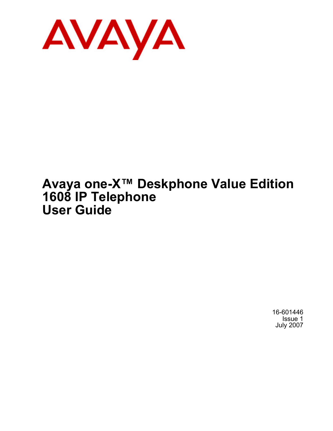

# **Avaya one-X™ Deskphone Value Edition 1608 IP Telephone User Guide**

16-601446 Issue 1 July 2007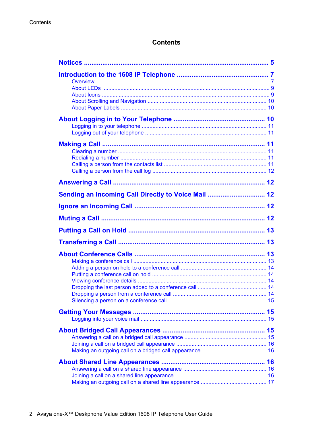## **Contents**

| Sending an Incoming Call Directly to Voice Mail  12 |  |
|-----------------------------------------------------|--|
|                                                     |  |
|                                                     |  |
|                                                     |  |
|                                                     |  |
|                                                     |  |
|                                                     |  |
|                                                     |  |
|                                                     |  |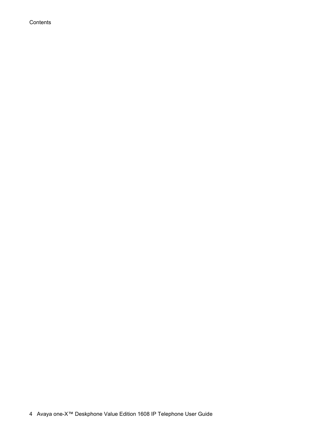**Contents**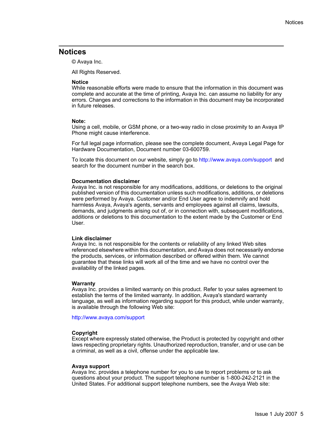### <span id="page-4-0"></span>**Notices**

© Avaya Inc.

All Rights Reserved.

#### **Notice**

While reasonable efforts were made to ensure that the information in this document was complete and accurate at the time of printing, Avaya Inc. can assume no liability for any errors. Changes and corrections to the information in this document may be incorporated in future releases.

#### **Note:**

Using a cell, mobile, or GSM phone, or a two-way radio in close proximity to an Avaya IP Phone might cause interference.

For full legal page information, please see the complete document, Avaya Legal Page for Hardware Documentation, Document number 03-600759.

To locate this document on our website, simply go to http://www.avaya.com/support and search for the document number in the search box.

#### **Documentation disclaimer**

Avaya Inc. is not responsible for any modifications, additions, or deletions to the original published version of this documentation unless such modifications, additions, or deletions were performed by Avaya. Customer and/or End User agree to indemnify and hold harmless Avaya, Avaya's agents, servants and employees against all claims, lawsuits, demands, and judgments arising out of, or in connection with, subsequent modifications, additions or deletions to this documentation to the extent made by the Customer or End User.

#### **Link disclaimer**

Avaya Inc. is not responsible for the contents or reliability of any linked Web sites referenced elsewhere within this documentation, and Avaya does not necessarily endorse the products, services, or information described or offered within them. We cannot guarantee that these links will work all of the time and we have no control over the availability of the linked pages.

#### **Warranty**

Avaya Inc. provides a limited warranty on this product. Refer to your sales agreement to establish the terms of the limited warranty. In addition, Avaya's standard warranty language, as well as information regarding support for this product, while under warranty, is available through the following Web site:

http://www.avaya.com/support

#### **Copyright**

Except where expressly stated otherwise, the Product is protected by copyright and other laws respecting proprietary rights. Unauthorized reproduction, transfer, and or use can be a criminal, as well as a civil, offense under the applicable law.

#### **Avaya support**

Avaya Inc. provides a telephone number for you to use to report problems or to ask questions about your product. The support telephone number is 1-800-242-2121 in the United States. For additional support telephone numbers, see the Avaya Web site: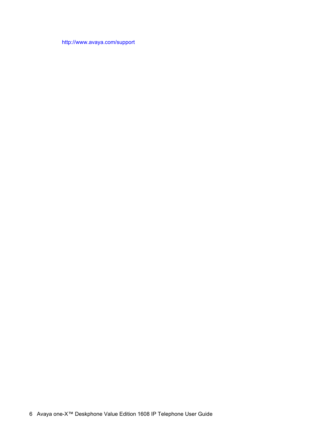http://www.avaya.com/support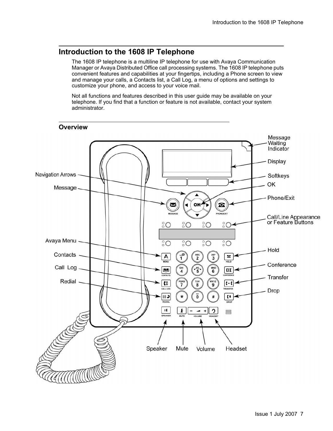## <span id="page-6-0"></span>**Introduction to the 1608 IP Telephone**

The 1608 IP telephone is a multiline IP telephone for use with Avaya Communication Manager or Avaya Distributed Office call processing systems. The 1608 IP telephone puts convenient features and capabilities at your fingertips, including a Phone screen to view and manage your calls, a Contacts list, a Call Log, a menu of options and settings to customize your phone, and access to your voice mail.

Not all functions and features described in this user guide may be available on your telephone. If you find that a function or feature is not available, contact your system administrator.

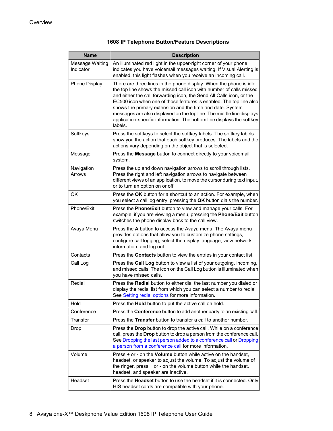| <b>Name</b>                  | <b>Description</b>                                                                                                                                                                                                                                                                                                                                                                                                                                                                                                   |
|------------------------------|----------------------------------------------------------------------------------------------------------------------------------------------------------------------------------------------------------------------------------------------------------------------------------------------------------------------------------------------------------------------------------------------------------------------------------------------------------------------------------------------------------------------|
| Message Waiting<br>Indicator | An illuminated red light in the upper-right corner of your phone<br>indicates you have voicemail messages waiting. If Visual Alerting is<br>enabled, this light flashes when you receive an incoming call.                                                                                                                                                                                                                                                                                                           |
| Phone Display                | There are three lines in the phone display. When the phone is idle,<br>the top line shows the missed call icon with number of calls missed<br>and either the call forwarding icon, the Send All Calls icon, or the<br>EC500 icon when one of those features is enabled. The top line also<br>shows the primary extension and the time and date. System<br>messages are also displayed on the top line. The middle line displays<br>application-specific information. The bottom line displays the softkey<br>labels. |
| Softkeys                     | Press the softkeys to select the softkey labels. The softkey labels<br>show you the action that each softkey produces. The labels and the<br>actions vary depending on the object that is selected.                                                                                                                                                                                                                                                                                                                  |
| Message                      | Press the Message button to connect directly to your voicemail<br>system.                                                                                                                                                                                                                                                                                                                                                                                                                                            |
| Navigation<br>Arrows         | Press the up and down navigation arrows to scroll through lists.<br>Press the right and left navigation arrows to navigate between<br>different views of an application, to move the cursor during text input,<br>or to turn an option on or off.                                                                                                                                                                                                                                                                    |
| OK                           | Press the OK button for a shortcut to an action. For example, when<br>you select a call log entry, pressing the OK button dials the number.                                                                                                                                                                                                                                                                                                                                                                          |
| Phone/Exit                   | Press the Phone/Exit button to view and manage your calls. For<br>example, if you are viewing a menu, pressing the Phone/Exit button<br>switches the phone display back to the call view.                                                                                                                                                                                                                                                                                                                            |
| Avaya Menu                   | Press the A button to access the Avaya menu. The Avaya menu<br>provides options that allow you to customize phone settings,<br>configure call logging, select the display language, view network<br>information, and log out.                                                                                                                                                                                                                                                                                        |
| Contacts                     | Press the Contacts button to view the entries in your contact list.                                                                                                                                                                                                                                                                                                                                                                                                                                                  |
| Call Log                     | Press the Call Log button to view a list of your outgoing, incoming,<br>and missed calls. The icon on the Call Log button is illuminated when<br>you have missed calls.                                                                                                                                                                                                                                                                                                                                              |
| Redial                       | Press the Redial button to either dial the last number you dialed or<br>display the redial list from which you can select a number to redial.<br>See Setting redial options for more information.                                                                                                                                                                                                                                                                                                                    |
| Hold                         | Press the Hold button to put the active call on hold.                                                                                                                                                                                                                                                                                                                                                                                                                                                                |
| Conference                   | Press the Conference button to add another party to an existing call.                                                                                                                                                                                                                                                                                                                                                                                                                                                |
| Transfer                     | Press the Transfer button to transfer a call to another number.                                                                                                                                                                                                                                                                                                                                                                                                                                                      |
| Drop                         | Press the Drop button to drop the active call. While on a conference<br>call, press the Drop button to drop a person from the conference call.<br>See Dropping the last person added to a conference call or Dropping<br>a person from a conference call for more information.                                                                                                                                                                                                                                       |
| Volume                       | Press + or - on the Volume button while active on the handset.<br>headset, or speaker to adjust the volume. To adjust the volume of<br>the ringer, press + or - on the volume button while the handset,<br>headset, and speaker are inactive.                                                                                                                                                                                                                                                                        |
| Headset                      | Press the <b>Headset</b> button to use the headset if it is connected. Only<br>HIS headset cords are compatible with your phone.                                                                                                                                                                                                                                                                                                                                                                                     |

### **1608 IP Telephone Button/Feature Descriptions**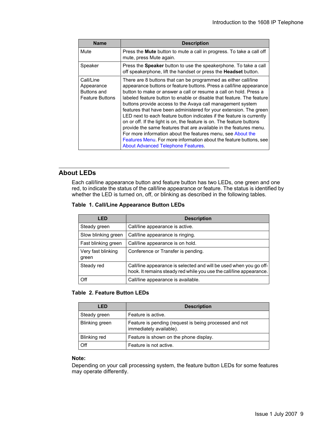<span id="page-8-0"></span>

| <b>Name</b>                                                             | <b>Description</b>                                                                                                                                                                                                                                                                                                                                                                                                                                                                                                                                                                                                                                                                                                                                                                                                                |
|-------------------------------------------------------------------------|-----------------------------------------------------------------------------------------------------------------------------------------------------------------------------------------------------------------------------------------------------------------------------------------------------------------------------------------------------------------------------------------------------------------------------------------------------------------------------------------------------------------------------------------------------------------------------------------------------------------------------------------------------------------------------------------------------------------------------------------------------------------------------------------------------------------------------------|
| Mute                                                                    | Press the <b>Mute</b> button to mute a call in progress. To take a call off<br>mute, press Mute again.                                                                                                                                                                                                                                                                                                                                                                                                                                                                                                                                                                                                                                                                                                                            |
| Speaker                                                                 | Press the Speaker button to use the speakerphone. To take a call<br>off speakerphone, lift the handset or press the <b>Headset</b> button.                                                                                                                                                                                                                                                                                                                                                                                                                                                                                                                                                                                                                                                                                        |
| Call/Line<br>Appearance<br><b>Buttons and</b><br><b>Feature Buttons</b> | There are 8 buttons that can be programmed as either call/line<br>appearance buttons or feature buttons. Press a call/line appearance<br>button to make or answer a call or resume a call on hold. Press a<br>labeled feature button to enable or disable that feature. The feature<br>buttons provide access to the Avaya call management system<br>features that have been administered for your extension. The green<br>LED next to each feature button indicates if the feature is currently<br>on or off. If the light is on, the feature is on. The feature buttons<br>provide the same features that are available in the features menu.<br>For more information about the features menu, see About the<br>Features Menu. For more information about the feature buttons, see<br><b>About Advanced Telephone Features.</b> |

#### **About LEDs**

Each call/line appearance button and feature button has two LEDs, one green and one red, to indicate the status of the call/line appearance or feature. The status is identified by whether the LED is turned on, off, or blinking as described in the following tables.

| Table 1. Call/Line Appearance Button LEDs |  |
|-------------------------------------------|--|
|-------------------------------------------|--|

| LED                         | <b>Description</b>                                                                                                                        |
|-----------------------------|-------------------------------------------------------------------------------------------------------------------------------------------|
| Steady green                | Call/line appearance is active.                                                                                                           |
| Slow blinking green         | Call/line appearance is ringing.                                                                                                          |
| Fast blinking green         | Call/line appearance is on hold.                                                                                                          |
| Very fast blinking<br>green | Conference or Transfer is pending.                                                                                                        |
| Steady red                  | Call/line appearance is selected and will be used when you go off-<br>hook. It remains steady red while you use the call/line appearance. |
| Off                         | Call/line appearance is available.                                                                                                        |

#### **Table 2. Feature Button LEDs**

| LED            | <b>Description</b>                                                                |
|----------------|-----------------------------------------------------------------------------------|
| Steady green   | Feature is active.                                                                |
| Blinking green | Feature is pending (request is being processed and not<br>immediately available). |
| Blinking red   | Feature is shown on the phone display.                                            |
| Off            | Feature is not active.                                                            |

#### **Note:**

Depending on your call processing system, the feature button LEDs for some features may operate differently.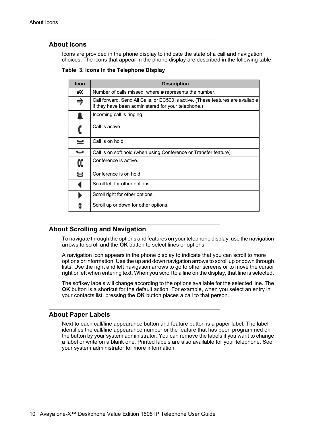### <span id="page-9-0"></span>**About Icons**

Icons are provided in the phone display to indicate the state of a call and navigation choices. The icons that appear in the phone display are described in the following table.

|  |  |  |  | Table 3. Icons in the Telephone Display |  |
|--|--|--|--|-----------------------------------------|--|
|--|--|--|--|-----------------------------------------|--|

| <b>Icon</b> | <b>Description</b>                                                                                                                     |
|-------------|----------------------------------------------------------------------------------------------------------------------------------------|
| #X          | Number of calls missed, where # represents the number.                                                                                 |
| ⇛           | Call forward, Send All Calls, or EC500 is active. (These features are available<br>if they have been administered for your telephone.) |
|             | Incoming call is ringing.                                                                                                              |
|             | Call is active.                                                                                                                        |
| ≍           | Call is on hold.                                                                                                                       |
|             | Call is on soft hold (when using Conference or Transfer feature).                                                                      |
| CC          | Conference is active.                                                                                                                  |
| s           | Conference is on hold.                                                                                                                 |
|             | Scroll left for other options.                                                                                                         |
|             | Scroll right for other options.                                                                                                        |
|             | Scroll up or down for other options.                                                                                                   |

### **About Scrolling and Navigation**

To navigate through the options and features on your telephone display, use the navigation arrows to scroll and the **OK** button to select lines or options.

A navigation icon appears in the phone display to indicate that you can scroll to more options or information. Use the up and down navigation arrows to scroll up or down through lists. Use the right and left navigation arrows to go to other screens or to move the cursor right or left when entering text. When you scroll to a line on the display, that line is selected.

The softkey labels will change according to the options available for the selected line. The **OK** button is a shortcut for the default action. For example, when you select an entry in your contacts list, pressing the **OK** button places a call to that person.

#### **About Paper Labels**

Next to each call/line appearance button and feature button is a paper label. The label identifies the call/line appearance number or the feature that has been programmed on the button by your system administrator. You can remove the labels if you want to change a label or write on a blank one. Printed labels are also available for your telephone. See your system administrator for more information.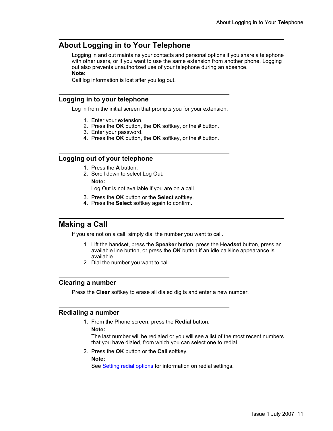## <span id="page-10-0"></span>**About Logging in to Your Telephone**

Logging in and out maintains your contacts and personal options if you share a telephone with other users, or if you want to use the same extension from another phone. Logging out also prevents unauthorized use of your telephone during an absence. **Note:**

Call log information is lost after you log out.

#### **Logging in to your telephone**

Log in from the initial screen that prompts you for your extension.

- 1. Enter your extension.
- 2. Press the **OK** button, the **OK** softkey, or the **#** button.
- 3. Enter your password.
- 4. Press the **OK** button, the **OK** softkey, or the **#** button.

#### **Logging out of your telephone**

- 1. Press the **A** button.
- 2. Scroll down to select Log Out.
	- **Note:**

Log Out is not available if you are on a call.

- 3. Press the **OK** button or the **Select** softkey.
- 4. Press the **Select** softkey again to confirm.

## **Making a Call**

If you are not on a call, simply dial the number you want to call.

- 1. Lift the handset, press the **Speaker** button, press the **Headset** button, press an available line button, or press the **OK** button if an idle call/line appearance is available.
- 2. Dial the number you want to call.

#### **Clearing a number**

Press the **Clear** softkey to erase all dialed digits and enter a new number.

#### **Redialing a number**

1. From the Phone screen, press the **Redial** button.

**Note:**

The last number will be redialed or you will see a list of the most recent numbers that you have dialed, from which you can select one to redial.

2. Press the **OK** button or the **Call** softkey.

**Note:**

See [Setting redial options](#page-23-0) for information on redial settings.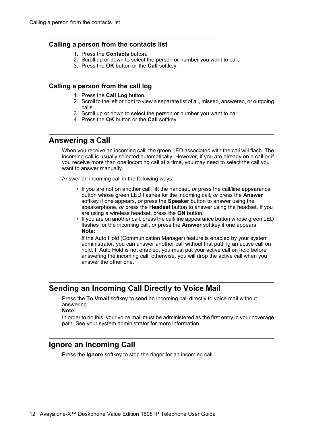#### <span id="page-11-0"></span>**Calling a person from the contacts list**

- 1. Press the **Contacts** button.
- 2. Scroll up or down to select the person or number you want to call.
- 3. Press the **OK** button or the **Call** softkey.

#### **Calling a person from the call log**

- 1. Press the **Call Log** button.
- 2. Scroll to the left or right to view a separate list of all, missed, answered, or outgoing calls.
- 3. Scroll up or down to select the person or number you want to call.
- 4. Press the **OK** button or the **Call** softkey.

## **Answering a Call**

When you receive an incoming call, the green LED associated with the call will flash. The incoming call is usually selected automatically. However, if you are already on a call or if you receive more than one incoming call at a time, you may need to select the call you want to answer manually.

Answer an incoming call in the following ways:

- If you are not on another call, lift the handset, *or* press the call/line appearance button whose green LED flashes for the incoming call, *or* press the **Answer** softkey if one appears, *or* press the **Speaker** button to answer using the speakerphone, *or* press the **Headset** button to answer using the headset. If you are using a wireless headset, press the **ON** button.
- If you are on another call, press the call/line appearance button whose green LED flashes for the incoming call, *or* press the **Answer** softkey if one appears. **Note:**

If the Auto Hold (Communication Manager) feature is enabled by your system administrator, you can answer another call without first putting an active call on hold. If Auto Hold is not enabled, you must put your active call on hold before answering the incoming call; otherwise, you will drop the active call when you answer the other one.

### **Sending an Incoming Call Directly to Voice Mail**

Press the **To Vmail** softkey to send an incoming call directly to voice mail without answering.

**Note:**

In order to do this, your voice mail must be administered as the first entry in your coverage path. See your system administrator for more information.

### **Ignore an Incoming Call**

Press the **Ignore** softkey to stop the ringer for an incoming call.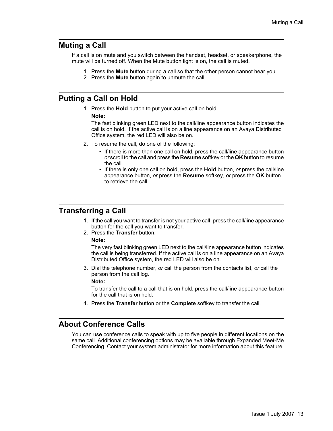## <span id="page-12-0"></span>**Muting a Call**

If a call is on mute and you switch between the handset, headset, or speakerphone, the mute will be turned off. When the Mute button light is on, the call is muted.

- 1. Press the **Mute** button during a call so that the other person cannot hear you.
- 2. Press the **Mute** button again to unmute the call.

## **Putting a Call on Hold**

1. Press the **Hold** button to put your active call on hold.

#### **Note:**

The fast blinking green LED next to the call/line appearance button indicates the call is on hold. If the active call is on a line appearance on an Avaya Distributed Office system, the red LED will also be on.

- 2. To resume the call, do one of the following:
	- If there is more than one call on hold, press the call/line appearance button *or* scroll to the call and press the **Resume** softkey or the **OK** button to resume the call.
	- If there is only one call on hold, press the **Hold** button, *or* press the call/line appearance button, *or* press the **Resume** softkey, *or* press the **OK** button to retrieve the call.

## **Transferring a Call**

- 1. If the call you want to transfer is not your active call, press the call/line appearance button for the call you want to transfer.
- 2. Press the **Transfer** button.

#### **Note:**

The very fast blinking green LED next to the call/line appearance button indicates the call is being transferred. If the active call is on a line appearance on an Avaya Distributed Office system, the red LED will also be on.

3. Dial the telephone number, *or* call the person from the contacts list, *or* call the person from the call log.

#### **Note:**

To transfer the call to a call that is on hold, press the call/line appearance button for the call that is on hold.

4. Press the **Transfer** button or the **Complete** softkey to transfer the call.

## **About Conference Calls**

You can use conference calls to speak with up to five people in different locations on the same call. Additional conferencing options may be available through Expanded Meet-Me Conferencing. Contact your system administrator for more information about this feature.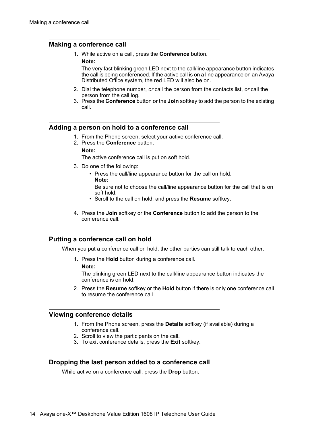#### <span id="page-13-0"></span>**Making a conference call**

1. While active on a call, press the **Conference** button.

#### **Note:**

The very fast blinking green LED next to the call/line appearance button indicates the call is being conferenced. If the active call is on a line appearance on an Avaya Distributed Office system, the red LED will also be on.

- 2. Dial the telephone number, *or* call the person from the contacts list, *or* call the person from the call log.
- 3. Press the **Conference** button or the **Join** softkey to add the person to the existing call.

#### **Adding a person on hold to a conference call**

- 1. From the Phone screen, select your active conference call.
- 2. Press the **Conference** button.

#### **Note:**

The active conference call is put on soft hold.

- 3. Do one of the following:
	- Press the call/line appearance button for the call on hold. **Note:**

Be sure not to choose the call/line appearance button for the call that is on soft hold.

- Scroll to the call on hold, and press the **Resume** softkey.
- 4. Press the **Join** softkey or the **Conference** button to add the person to the conference call.

#### **Putting a conference call on hold**

When you put a conference call on hold, the other parties can still talk to each other.

1. Press the **Hold** button during a conference call.

#### **Note:**

The blinking green LED next to the call/line appearance button indicates the conference is on hold.

2. Press the **Resume** softkey or the **Hold** button if there is only one conference call to resume the conference call.

#### **Viewing conference details**

- 1. From the Phone screen, press the **Details** softkey (if available) during a conference call.
- 2. Scroll to view the participants on the call.
- 3. To exit conference details, press the **Exit** softkey.

#### **Dropping the last person added to a conference call**

While active on a conference call, press the **Drop** button.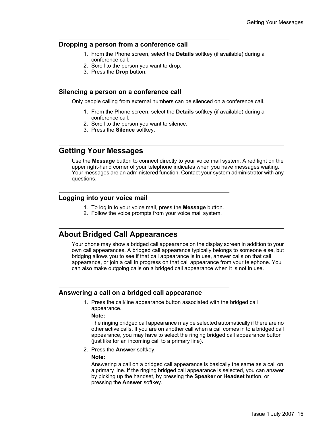#### <span id="page-14-0"></span>**Dropping a person from a conference call**

- 1. From the Phone screen, select the **Details** softkey (if available) during a conference call.
- 2. Scroll to the person you want to drop.
- 3. Press the **Drop** button.

#### **Silencing a person on a conference call**

Only people calling from external numbers can be silenced on a conference call.

- 1. From the Phone screen, select the **Details** softkey (if available) during a conference call.
- 2. Scroll to the person you want to silence.
- 3. Press the **Silence** softkey.

## **Getting Your Messages**

Use the **Message** button to connect directly to your voice mail system. A red light on the upper right-hand corner of your telephone indicates when you have messages waiting. Your messages are an administered function. Contact your system administrator with any questions.

#### **Logging into your voice mail**

- 1. To log in to your voice mail, press the **Message** button.
- 2. Follow the voice prompts from your voice mail system.

## **About Bridged Call Appearances**

Your phone may show a bridged call appearance on the display screen in addition to your own call appearances. A bridged call appearance typically belongs to someone else, but bridging allows you to see if that call appearance is in use, answer calls on that call appearance, or join a call in progress on that call appearance from your telephone. You can also make outgoing calls on a bridged call appearance when it is not in use.

#### **Answering a call on a bridged call appearance**

1. Press the call/line appearance button associated with the bridged call appearance.

#### **Note:**

The ringing bridged call appearance may be selected automatically if there are no other active calls. If you are on another call when a call comes in to a bridged call appearance, you may have to select the ringing bridged call appearance button (just like for an incoming call to a primary line).

2. Press the **Answer** softkey.

#### **Note:**

Answering a call on a bridged call appearance is basically the same as a call on a primary line. If the ringing bridged call appearance is selected, you can answer by picking up the handset, by pressing the **Speaker** or **Headset** button, or pressing the **Answer** softkey.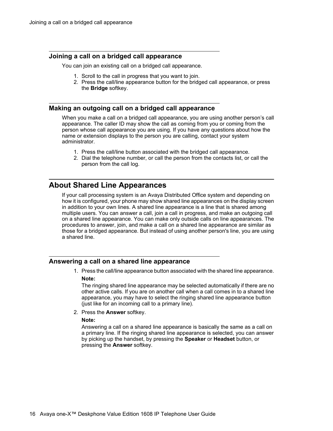#### <span id="page-15-0"></span>**Joining a call on a bridged call appearance**

You can join an existing call on a bridged call appearance.

- 1. Scroll to the call in progress that you want to join.
- 2. Press the call/line appearance button for the bridged call appearance, or press the **Bridge** softkey.

#### **Making an outgoing call on a bridged call appearance**

When you make a call on a bridged call appearance, you are using another person's call appearance. The caller ID may show the call as coming from you or coming from the person whose call appearance you are using. If you have any questions about how the name or extension displays to the person you are calling, contact your system administrator.

- 1. Press the call/line button associated with the bridged call appearance.
- 2. Dial the telephone number, or call the person from the contacts list, or call the person from the call log.

## **About Shared Line Appearances**

If your call processing system is an Avaya Distributed Office system and depending on how it is configured, your phone may show shared line appearances on the display screen in addition to your own lines. A shared line appearance is a line that is shared among multiple users. You can answer a call, join a call in progress, and make an outgoing call on a shared line appearance. You can make only outside calls on line appearances. The procedures to answer, join, and make a call on a shared line appearance are similar as those for a bridged appearance. But instead of using another person's line, you are using a shared line.

#### **Answering a call on a shared line appearance**

1. Press the call/line appearance button associated with the shared line appearance. **Note:**

The ringing shared line appearance may be selected automatically if there are no other active calls. If you are on another call when a call comes in to a shared line appearance, you may have to select the ringing shared line appearance button (just like for an incoming call to a primary line).

2. Press the **Answer** softkey.

#### **Note:**

Answering a call on a shared line appearance is basically the same as a call on a primary line. If the ringing shared line appearance is selected, you can answer by picking up the handset, by pressing the **Speaker** or **Headset** button, or pressing the **Answer** softkey.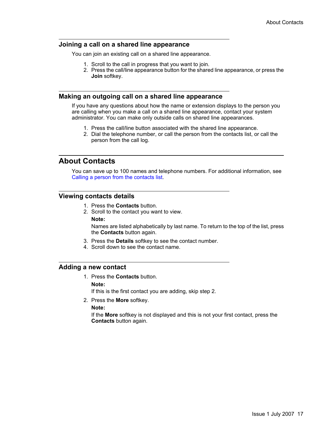#### <span id="page-16-0"></span>**Joining a call on a shared line appearance**

You can join an existing call on a shared line appearance.

- 1. Scroll to the call in progress that you want to join.
- 2. Press the call/line appearance button for the shared line appearance, or press the **Join** softkey.

#### **Making an outgoing call on a shared line appearance**

If you have any questions about how the name or extension displays to the person you are calling when you make a call on a shared line appearance, contact your system administrator. You can make only outside calls on shared line appearances.

- 1. Press the call/line button associated with the shared line appearance.
- 2. Dial the telephone number, or call the person from the contacts list, or call the person from the call log.

## **About Contacts**

You can save up to 100 names and telephone numbers. For additional information, see [Calling a person from the contacts list.](#page-11-0)

#### **Viewing contacts details**

- 1. Press the **Contacts** button.
- 2. Scroll to the contact you want to view.
	- **Note:**

Names are listed alphabetically by last name. To return to the top of the list, press the **Contacts** button again.

- 3. Press the **Details** softkey to see the contact number.
- 4. Scroll down to see the contact name.

#### **Adding a new contact**

1. Press the **Contacts** button. **Note:**

If this is the first contact you are adding, skip step 2.

2. Press the **More** softkey.

#### **Note:**

If the **More** softkey is not displayed and this is not your first contact, press the **Contacts** button again.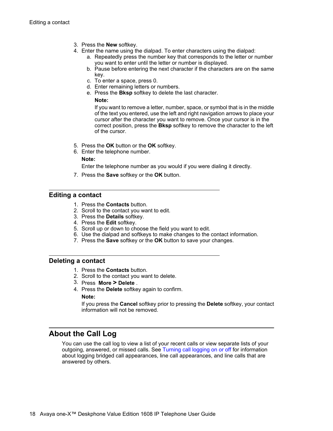- <span id="page-17-0"></span>3. Press the **New** softkey.
- 4. Enter the name using the dialpad. To enter characters using the dialpad:
	- a. Repeatedly press the number key that corresponds to the letter or number you want to enter until the letter or number is displayed.
	- b. Pause before entering the next character if the characters are on the same key.
	- c. To enter a space, press 0.
	- d. Enter remaining letters or numbers.
	- e. Press the **Bksp** softkey to delete the last character.

#### **Note:**

If you want to remove a letter, number, space, or symbol that is in the middle of the text you entered, use the left and right navigation arrows to place your cursor after the character you want to remove. Once your cursor is in the correct position, press the **Bksp** softkey to remove the character to the left of the cursor.

- 5. Press the **OK** button or the **OK** softkey.
- 6. Enter the telephone number.

#### **Note:**

Enter the telephone number as you would if you were dialing it directly.

7. Press the **Save** softkey or the **OK** button.

#### **Editing a contact**

- 1. Press the **Contacts** button.
- 2. Scroll to the contact you want to edit.
- 3. Press the **Details** softkey.
- 4. Press the **Edit** softkey.
- 5. Scroll up or down to choose the field you want to edit.
- 6. Use the dialpad and softkeys to make changes to the contact information.
- 7. Press the **Save** softkey or the **OK** button to save your changes.

#### **Deleting a contact**

- 1. Press the **Contacts** button.
- 2. Scroll to the contact you want to delete.
- 3. Press **More > Delete** .
- 4. Press the **Delete** softkey again to confirm.

#### **Note:**

If you press the **Cancel** softkey prior to pressing the **Delete** softkey, your contact information will not be removed.

## **About the Call Log**

You can use the call log to view a list of your recent calls or view separate lists of your outgoing, answered, or missed calls. See [Turning call logging on or off](#page-18-0) for information about logging bridged call appearances, line call appearances, and line calls that are answered by others.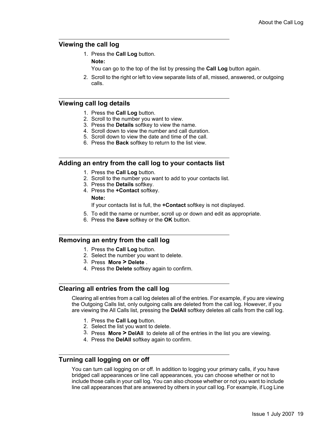#### <span id="page-18-0"></span>**Viewing the call log**

1. Press the **Call Log** button.

#### **Note:**

You can go to the top of the list by pressing the **Call Log** button again.

2. Scroll to the right or left to view separate lists of all, missed, answered, or outgoing calls.

### **Viewing call log details**

- 1. Press the **Call Log** button.
- 2. Scroll to the number you want to view.
- 3. Press the **Details** softkey to view the name.
- 4. Scroll down to view the number and call duration.
- 5. Scroll down to view the date and time of the call.
- 6. Press the **Back** softkey to return to the list view.

#### **Adding an entry from the call log to your contacts list**

- 1. Press the **Call Log** button.
- 2. Scroll to the number you want to add to your contacts list.
- 3. Press the **Details** softkey.
- 4. Press the **+Contact** softkey.

#### **Note:**

If your contacts list is full, the **+Contact** softkey is not displayed.

- 5. To edit the name or number, scroll up or down and edit as appropriate.
- 6. Press the **Save** softkey or the **OK** button.

#### **Removing an entry from the call log**

- 1. Press the **Call Log** button.
- 2. Select the number you want to delete.
- 3. Press **More > Delete** .
- 4. Press the **Delete** softkey again to confirm.

#### **Clearing all entries from the call log**

Clearing all entries from a call log deletes all of the entries. For example, if you are viewing the Outgoing Calls list, only outgoing calls are deleted from the call log. However, if you are viewing the All Calls list, pressing the **DelAll** softkey deletes all calls from the call log.

- 1. Press the **Call Log** button.
- 2. Select the list you want to delete.
- 3. Press **More > DelAll** to delete all of the entries in the list you are viewing.
- 4. Press the **DelAll** softkey again to confirm.

#### **Turning call logging on or off**

You can turn call logging on or off. In addition to logging your primary calls, if you have bridged call appearances or line call appearances, you can choose whether or not to include those calls in your call log. You can also choose whether or not you want to include line call appearances that are answered by others in your call log. For example, if Log Line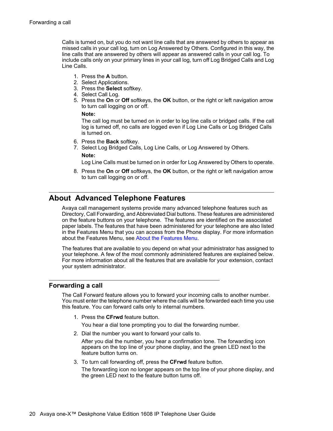<span id="page-19-0"></span>Calls is turned on, but you do not want line calls that are answered by others to appear as missed calls in your call log, turn on Log Answered by Others. Configured in this way, the line calls that are answered by others will appear as answered calls in your call log. To include calls only on your primary lines in your call log, turn off Log Bridged Calls and Log Line Calls.

- 1. Press the **A** button.
- 2. Select Applications.
- 3. Press the **Select** softkey.
- 4. Select Call Log.
- 5. Press the **On** or **Off** softkeys, the **OK** button, or the right or left navigation arrow to turn call logging on or off.

#### **Note:**

The call log must be turned on in order to log line calls or bridged calls. If the call log is turned off, no calls are logged even if Log Line Calls or Log Bridged Calls is turned on.

- 6. Press the **Back** softkey.
- 7. Select Log Bridged Calls, Log Line Calls, or Log Answered by Others. **Note:**

Log Line Calls must be turned on in order for Log Answered by Others to operate.

8. Press the **On** or **Off** softkeys, the **OK** button, or the right or left navigation arrow to turn call logging on or off.

## **About Advanced Telephone Features**

Avaya call management systems provide many advanced telephone features such as Directory, Call Forwarding, and Abbreviated Dial buttons. These features are administered on the feature buttons on your telephone. The features are identified on the associated paper labels. The features that have been administered for your telephone are also listed in the Features Menu that you can access from the Phone display. For more information about the Features Menu, see [About the Features Menu](#page-21-0).

The features that are available to you depend on what your administrator has assigned to your telephone. A few of the most commonly administered features are explained below. For more information about all the features that are available for your extension, contact your system administrator.

### **Forwarding a call**

The Call Forward feature allows you to forward your incoming calls to another number. You must enter the telephone number where the calls will be forwarded each time you use this feature. You can forward calls only to internal numbers.

1. Press the **CFrwd** feature button.

You hear a dial tone prompting you to dial the forwarding number.

2. Dial the number you want to forward your calls to.

After you dial the number, you hear a confirmation tone. The forwarding icon appears on the top line of your phone display, and the green LED next to the feature button turns on.

3. To turn call forwarding off, press the **CFrwd** feature button.

The forwarding icon no longer appears on the top line of your phone display, and the green LED next to the feature button turns off.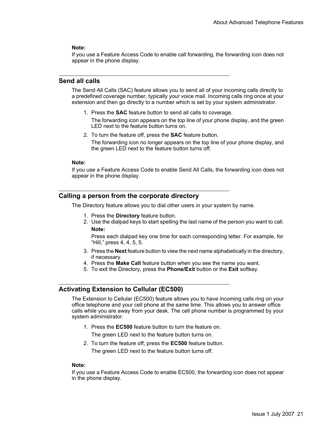#### <span id="page-20-0"></span>**Note:**

If you use a Feature Access Code to enable call forwarding, the forwarding icon does not appear in the phone display.

#### **Send all calls**

The Send All Calls (SAC) feature allows you to send all of your incoming calls directly to a predefined coverage number, typically your voice mail. Incoming calls ring once at your extension and then go directly to a number which is set by your system administrator.

- 1. Press the **SAC** feature button to send all calls to coverage. The forwarding icon appears on the top line of your phone display, and the green LED next to the feature button turns on.
- 2. To turn the feature off, press the **SAC** feature button.

The forwarding icon no longer appears on the top line of your phone display, and the green LED next to the feature button turns off.

#### **Note:**

If you use a Feature Access Code to enable Send All Calls, the forwarding icon does not appear in the phone display.

#### **Calling a person from the corporate directory**

The Directory feature allows you to dial other users in your system by name.

- 1. Press the **Directory** feature button.
- 2. Use the dialpad keys to start spelling the last name of the person you want to call. **Note:**

Press each dialpad key one time for each corresponding letter. For example, for "Hill," press 4, 4, 5, 5.

- 3. Press the **Next** feature button to view the next name alphabetically in the directory, if necessary.
- 4. Press the **Make Call** feature button when you see the name you want.
- 5. To exit the Directory, press the **Phone/Exit** button or the **Exit** softkey.

#### **Activating Extension to Cellular (EC500)**

The Extension to Cellular (EC500) feature allows you to have incoming calls ring on your office telephone and your cell phone at the same time. This allows you to answer office calls while you are away from your desk. The cell phone number is programmed by your system administrator.

1. Press the **EC500** feature button to turn the feature on.

The green LED next to the feature button turns on.

2. To turn the feature off, press the **EC500** feature button.

The green LED next to the feature button turns off.

#### **Note:**

If you use a Feature Access Code to enable EC500, the forwarding icon does not appear in the phone display.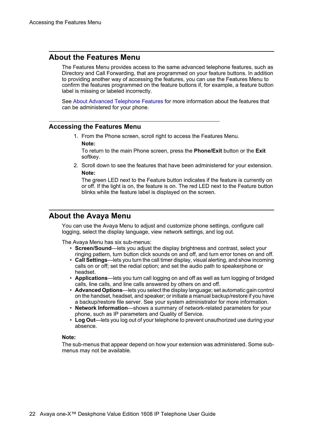## <span id="page-21-0"></span>**About the Features Menu**

The Features Menu provides access to the same advanced telephone features, such as Directory and Call Forwarding, that are programmed on your feature buttons. In addition to providing another way of accessing the features, you can use the Features Menu to confirm the features programmed on the feature buttons if, for example, a feature button label is missing or labeled incorrectly.

See [About Advanced Telephone Features](#page-19-0) for more information about the features that can be administered for your phone.

#### **Accessing the Features Menu**

1. From the Phone screen, scroll right to access the Features Menu.

#### **Note:**

To return to the main Phone screen, press the **Phone/Exit** button or the **Exit** softkey.

2. Scroll down to see the features that have been administered for your extension. **Note:**

The green LED next to the Feature button indicates if the feature is currently on or off. If the light is on, the feature is on. The red LED next to the Feature button blinks while the feature label is displayed on the screen.

## **About the Avaya Menu**

You can use the Avaya Menu to adjust and customize phone settings, configure call logging, select the display language, view network settings, and log out.

The Avaya Menu has six sub-menus:

- **Screen/Sound**—lets you adjust the display brightness and contrast, select your ringing pattern, turn button click sounds on and off, and turn error tones on and off.
- **Call Settings**—lets you turn the call timer display, visual alerting, and show incoming calls on or off; set the redial option; and set the audio path to speakerphone or headset.
- **Applications**—lets you turn call logging on and off as well as turn logging of bridged calls, line calls, and line calls answered by others on and off.
- **Advanced Options**—lets you select the display language; set automatic gain control on the handset, headset, and speaker; or initiate a manual backup/restore if you have a backup/restore file server. See your system administrator for more information.
- **Network Information**—shows a summary of network-related parameters for your phone, such as IP parameters and Quality of Service.
- **Log Out**—lets you log out of your telephone to prevent unauthorized use during your absence.

#### **Note:**

The sub-menus that appear depend on how your extension was administered. Some submenus may not be available.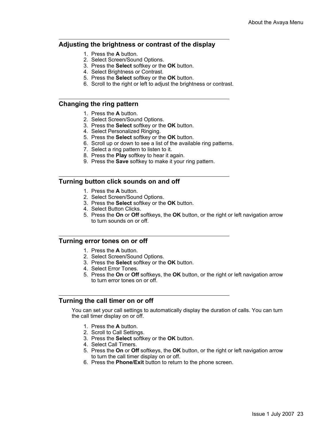#### <span id="page-22-0"></span>**Adjusting the brightness or contrast of the display**

- 1. Press the **A** button.
- 2. Select Screen/Sound Options.
- 3. Press the **Select** softkey or the **OK** button.
- 4. Select Brightness or Contrast.
- 5. Press the **Select** softkey or the **OK** button.
- 6. Scroll to the right or left to adjust the brightness or contrast.

### **Changing the ring pattern**

- 1. Press the **A** button.
- 2. Select Screen/Sound Options.
- 3. Press the **Select** softkey or the **OK** button.
- 4. Select Personalized Ringing.
- 5. Press the **Select** softkey or the **OK** button.
- 6. Scroll up or down to see a list of the available ring patterns.
- 7. Select a ring pattern to listen to it.
- 8. Press the **Play** softkey to hear it again.
- 9. Press the **Save** softkey to make it your ring pattern.

#### **Turning button click sounds on and off**

- 1. Press the **A** button.
- 2. Select Screen/Sound Options.
- 3. Press the **Select** softkey or the **OK** button.
- 4. Select Button Clicks.
- 5. Press the **On** or **Off** softkeys, the **OK** button, or the right or left navigation arrow to turn sounds on or off.

#### **Turning error tones on or off**

- 1. Press the **A** button.
- 2. Select Screen/Sound Options.
- 3. Press the **Select** softkey or the **OK** button.
- 4. Select Error Tones.
- 5. Press the **On** or **Off** softkeys, the **OK** button, or the right or left navigation arrow to turn error tones on or off.

#### **Turning the call timer on or off**

You can set your call settings to automatically display the duration of calls. You can turn the call timer display on or off.

- 1. Press the **A** button.
- 2. Scroll to Call Settings.
- 3. Press the **Select** softkey or the **OK** button.
- 4. Select Call Timers.
- 5. Press the **On** or **Off** softkeys, the **OK** button, or the right or left navigation arrow to turn the call timer display on or off.
- 6. Press the **Phone/Exit** button to return to the phone screen.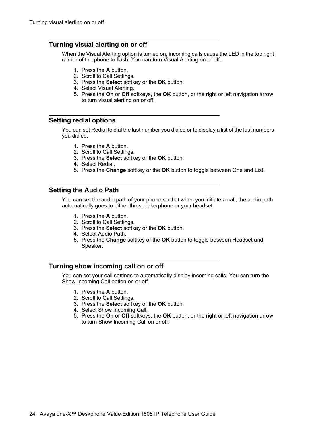### <span id="page-23-0"></span>**Turning visual alerting on or off**

When the Visual Alerting option is turned on, incoming calls cause the LED in the top right corner of the phone to flash. You can turn Visual Alerting on or off.

- 1. Press the **A** button.
- 2. Scroll to Call Settings.
- 3. Press the **Select** softkey or the **OK** button.
- 4. Select Visual Alerting.
- 5. Press the **On** or **Off** softkeys, the **OK** button, or the right or left navigation arrow to turn visual alerting on or off.

#### **Setting redial options**

You can set Redial to dial the last number you dialed or to display a list of the last numbers you dialed.

- 1. Press the **A** button.
- 2. Scroll to Call Settings.
- 3. Press the **Select** softkey or the **OK** button.
- 4. Select Redial.
- 5. Press the **Change** softkey or the **OK** button to toggle between One and List.

#### **Setting the Audio Path**

You can set the audio path of your phone so that when you initiate a call, the audio path automatically goes to either the speakerphone or your headset.

- 1. Press the **A** button.
- 2. Scroll to Call Settings.
- 3. Press the **Select** softkey or the **OK** button.
- 4. Select Audio Path.
- 5. Press the **Change** softkey or the **OK** button to toggle between Headset and Speaker.

#### **Turning show incoming call on or off**

You can set your call settings to automatically display incoming calls. You can turn the Show Incoming Call option on or off.

- 1. Press the **A** button.
- 2. Scroll to Call Settings.
- 3. Press the **Select** softkey or the **OK** button.
- 4. Select Show Incoming Call.
- 5. Press the **On** or **Off** softkeys, the **OK** button, or the right or left navigation arrow to turn Show Incoming Call on or off.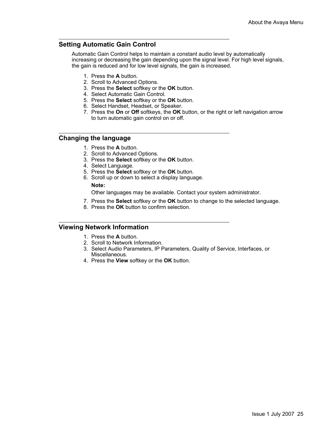### <span id="page-24-0"></span>**Setting Automatic Gain Control**

Automatic Gain Control helps to maintain a constant audio level by automatically increasing or decreasing the gain depending upon the signal level. For high level signals, the gain is reduced and for low level signals, the gain is increased.

- 1. Press the **A** button.
- 2. Scroll to Advanced Options.
- 3. Press the **Select** softkey or the **OK** button.
- 4. Select Automatic Gain Control.
- 5. Press the **Select** softkey or the **OK** button.
- 6. Select Handset, Headset, or Speaker.
- 7. Press the **On** or **Off** softkeys, the **OK** button, or the right or left navigation arrow to turn automatic gain control on or off.

#### **Changing the language**

- 1. Press the **A** button.
- 2. Scroll to Advanced Options.
- 3. Press the **Select** softkey or the **OK** button.
- 4. Select Language.
- 5. Press the **Select** softkey or the **OK** button.
- 6. Scroll up or down to select a display language.

#### **Note:**

Other languages may be available. Contact your system administrator.

- 7. Press the **Select** softkey or the **OK** button to change to the selected language.
- 8. Press the **OK** button to confirm selection.

#### **Viewing Network Information**

- 1. Press the **A** button.
- 2. Scroll to Network Information.
- 3. Select Audio Parameters, IP Parameters, Quality of Service, Interfaces, or Miscellaneous.
- 4. Press the **View** softkey or the **OK** button.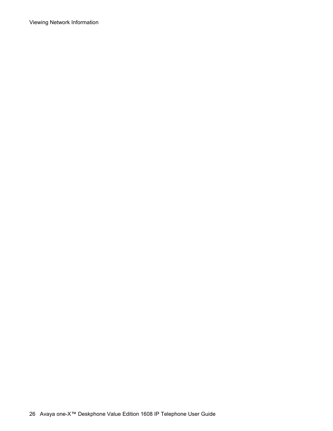Viewing Network Information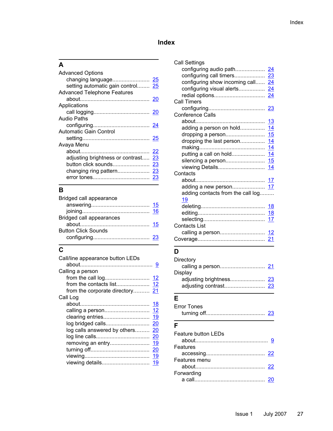## **Index**

## <span id="page-26-0"></span>**A**

| <b>Advanced Options</b>             |  |
|-------------------------------------|--|
|                                     |  |
| setting automatic gain control 25   |  |
| <b>Advanced Telephone Features</b>  |  |
|                                     |  |
| Applications                        |  |
|                                     |  |
| <b>Audio Paths</b>                  |  |
|                                     |  |
| <b>Automatic Gain Control</b>       |  |
|                                     |  |
| Avaya Menu                          |  |
|                                     |  |
| adjusting brightness or contrast 23 |  |
|                                     |  |
|                                     |  |
|                                     |  |
|                                     |  |

## **B**

| Bridged call appearance    |  |
|----------------------------|--|
|                            |  |
|                            |  |
| Bridged call appearances   |  |
|                            |  |
| <b>Button Click Sounds</b> |  |
|                            |  |
|                            |  |

## **C**

| Call/line appearance button LEDs |    |
|----------------------------------|----|
|                                  |    |
| Calling a person                 |    |
|                                  |    |
|                                  |    |
| from the corporate directory 21  |    |
| Call Log                         |    |
|                                  | 18 |
| calling a person                 | 12 |
| clearing entries                 | 19 |
|                                  | 20 |
| log calls answered by others     | 20 |
|                                  | 20 |
| removing an entry                | 19 |
|                                  | 20 |
|                                  | 19 |
|                                  |    |
|                                  |    |

| <b>Call Settings</b>              |    |
|-----------------------------------|----|
| configuring audio path 24         |    |
|                                   |    |
| configuring show incoming call 24 |    |
| configuring visual alerts 24      |    |
|                                   |    |
| <b>Call Timers</b>                |    |
|                                   |    |
| Conference Calls                  |    |
|                                   |    |
| adding a person on hold 14        |    |
|                                   |    |
| dropping the last person 14       |    |
|                                   |    |
|                                   |    |
|                                   |    |
| viewing Details                   | 14 |
| Contacts                          |    |
|                                   |    |
|                                   |    |
| adding contacts from the call log |    |
| 19                                |    |
|                                   |    |
|                                   |    |
|                                   |    |
| <b>Contacts List</b>              |    |
|                                   |    |
|                                   |    |
|                                   |    |

## **D**

| Directory |  |
|-----------|--|
|           |  |
| Display   |  |
|           |  |
|           |  |

## **E**

| <b>Error Tones</b> |    |
|--------------------|----|
|                    | 23 |

## **F**

| <b>Feature button LEDs</b> |  |
|----------------------------|--|
|                            |  |
| Features                   |  |
|                            |  |
| Features menu              |  |
|                            |  |
| Forwarding                 |  |
|                            |  |